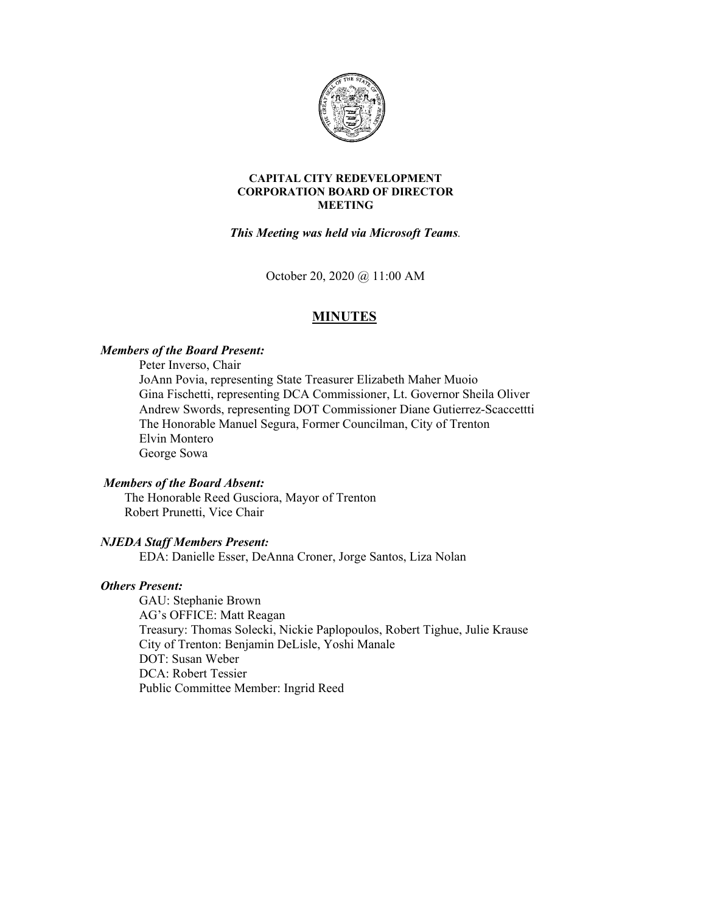

#### **CAPITAL CITY REDEVELOPMENT CORPORATION BOARD OF DIRECTOR MEETING**

*This Meeting was held via Microsoft Teams.*

October 20, 2020 @ 11:00 AM

# **MINUTES**

### *Members of the Board Present:*

Peter Inverso, Chair JoAnn Povia, representing State Treasurer Elizabeth Maher Muoio Gina Fischetti, representing DCA Commissioner, Lt. Governor Sheila Oliver Andrew Swords, representing DOT Commissioner Diane Gutierrez-Scaccettti The Honorable Manuel Segura, Former Councilman, City of Trenton Elvin Montero George Sowa

#### *Members of the Board Absent:*

The Honorable Reed Gusciora, Mayor of Trenton Robert Prunetti, Vice Chair

### *NJEDA Staff Members Present:*

EDA: Danielle Esser, DeAnna Croner, Jorge Santos, Liza Nolan

### *Others Present:*

GAU: Stephanie Brown AG's OFFICE: Matt Reagan Treasury: Thomas Solecki, Nickie Paplopoulos, Robert Tighue, Julie Krause City of Trenton: Benjamin DeLisle, Yoshi Manale DOT: Susan Weber DCA: Robert Tessier Public Committee Member: Ingrid Reed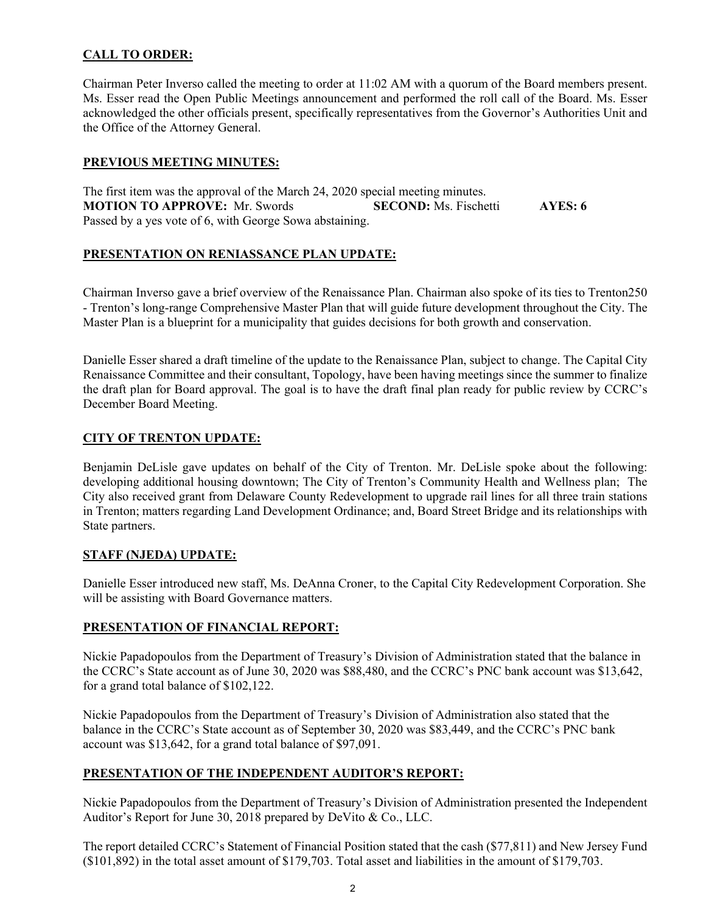# **CALL TO ORDER:**

Chairman Peter Inverso called the meeting to order at 11:02 AM with a quorum of the Board members present. Ms. Esser read the Open Public Meetings announcement and performed the roll call of the Board. Ms. Esser acknowledged the other officials present, specifically representatives from the Governor's Authorities Unit and the Office of the Attorney General.

### **PREVIOUS MEETING MINUTES:**

The first item was the approval of the March 24, 2020 special meeting minutes. **MOTION TO APPROVE:** Mr. Swords **SECOND:** Ms. Fischetti **AYES: 6** Passed by a yes vote of 6, with George Sowa abstaining.

# **PRESENTATION ON RENIASSANCE PLAN UPDATE:**

Chairman Inverso gave a brief overview of the Renaissance Plan. Chairman also spoke of its ties to Trenton250 - Trenton's long-range Comprehensive Master Plan that will guide future development throughout the City. The Master Plan is a blueprint for a municipality that guides decisions for both growth and conservation.

Danielle Esser shared a draft timeline of the update to the Renaissance Plan, subject to change. The Capital City Renaissance Committee and their consultant, Topology, have been having meetings since the summer to finalize the draft plan for Board approval. The goal is to have the draft final plan ready for public review by CCRC's December Board Meeting.

# **CITY OF TRENTON UPDATE:**

Benjamin DeLisle gave updates on behalf of the City of Trenton. Mr. DeLisle spoke about the following: developing additional housing downtown; The City of Trenton's Community Health and Wellness plan; The City also received grant from Delaware County Redevelopment to upgrade rail lines for all three train stations in Trenton; matters regarding Land Development Ordinance; and, Board Street Bridge and its relationships with State partners.

# **STAFF (NJEDA) UPDATE:**

Danielle Esser introduced new staff, Ms. DeAnna Croner, to the Capital City Redevelopment Corporation. She will be assisting with Board Governance matters.

### **PRESENTATION OF FINANCIAL REPORT:**

Nickie Papadopoulos from the Department of Treasury's Division of Administration stated that the balance in the CCRC's State account as of June 30, 2020 was \$88,480, and the CCRC's PNC bank account was \$13,642, for a grand total balance of \$102,122.

Nickie Papadopoulos from the Department of Treasury's Division of Administration also stated that the balance in the CCRC's State account as of September 30, 2020 was \$83,449, and the CCRC's PNC bank account was \$13,642, for a grand total balance of \$97,091.

# **PRESENTATION OF THE INDEPENDENT AUDITOR'S REPORT:**

Nickie Papadopoulos from the Department of Treasury's Division of Administration presented the Independent Auditor's Report for June 30, 2018 prepared by DeVito & Co., LLC.

The report detailed CCRC's Statement of Financial Position stated that the cash (\$77,811) and New Jersey Fund (\$101,892) in the total asset amount of \$179,703. Total asset and liabilities in the amount of \$179,703.